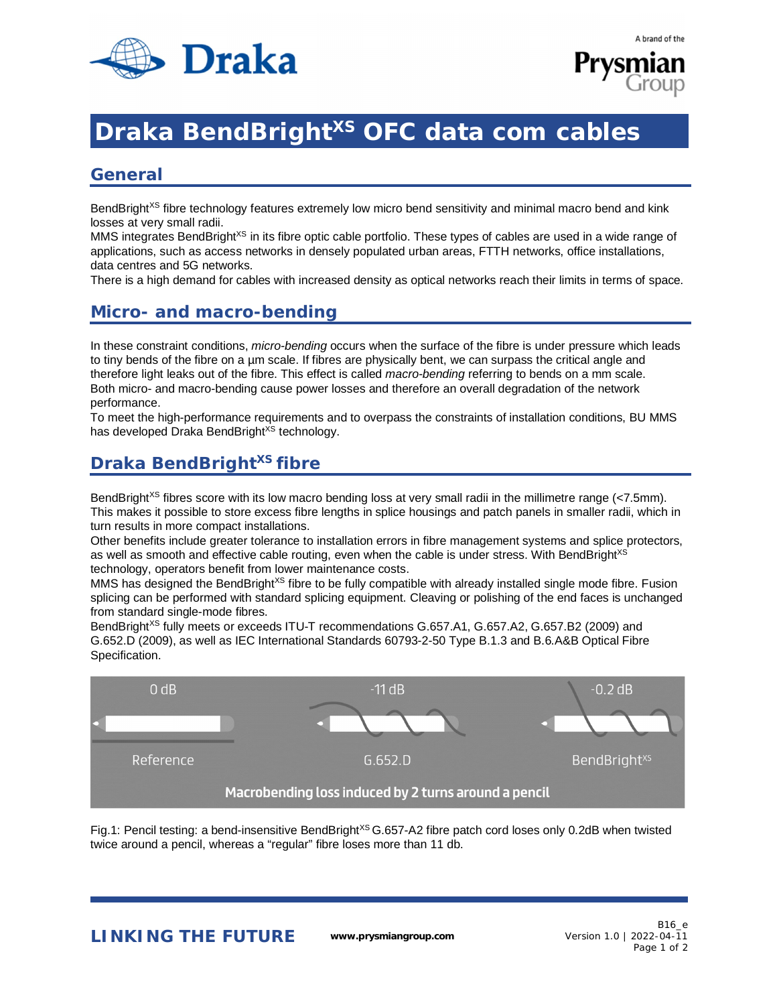



# **Draka BendBright<sup>xs</sup> OFC data com cables**

#### **General**

BendBright<sup>xS</sup> fibre technology features extremely low micro bend sensitivity and minimal macro bend and kink losses at very small radii.

MMS integrates BendBright<sup>XS</sup> in its fibre optic cable portfolio. These types of cables are used in a wide range of applications, such as access networks in densely populated urban areas, FTTH networks, office installations, data centres and 5G networks.

There is a high demand for cables with increased density as optical networks reach their limits in terms of space.

### **Micro- and macro-bending**

In these constraint conditions, *micro-bending* occurs when the surface of the fibre is under pressure which leads to tiny bends of the fibre on a µm scale. If fibres are physically bent, we can surpass the critical angle and therefore light leaks out of the fibre. This effect is called *macro-bending* referring to bends on a mm scale. Both micro- and macro-bending cause power losses and therefore an overall degradation of the network performance.

To meet the high-performance requirements and to overpass the constraints of installation conditions, BU MMS has developed Draka BendBright<sup>XS</sup> technology.

## **Draka BendBrightXS fibre**

BendBright<sup>XS</sup> fibres score with its low macro bending loss at very small radii in the millimetre range (<7.5mm). This makes it possible to store excess fibre lengths in splice housings and patch panels in smaller radii, which in turn results in more compact installations.

Other benefits include greater tolerance to installation errors in fibre management systems and splice protectors, as well as smooth and effective cable routing, even when the cable is under stress. With BendBright<sup>XS</sup> technology, operators benefit from lower maintenance costs.

MMS has designed the BendBright<sup>xs</sup> fibre to be fully compatible with already installed single mode fibre. Fusion splicing can be performed with standard splicing equipment. Cleaving or polishing of the end faces is unchanged from standard single-mode fibres.

BendBright<sup>XS</sup> fully meets or exceeds ITU-T recommendations G.657.A1, G.657.A2, G.657.B2 (2009) and G.652.D (2009), as well as IEC International Standards 60793-2-50 Type B.1.3 and B.6.A&B Optical Fibre Specification.



Fig.1: Pencil testing: a bend-insensitive BendBright<sup>XS</sup> G.657-A2 fibre patch cord loses only 0.2dB when twisted twice around a pencil, whereas a "regular" fibre loses more than 11 db.